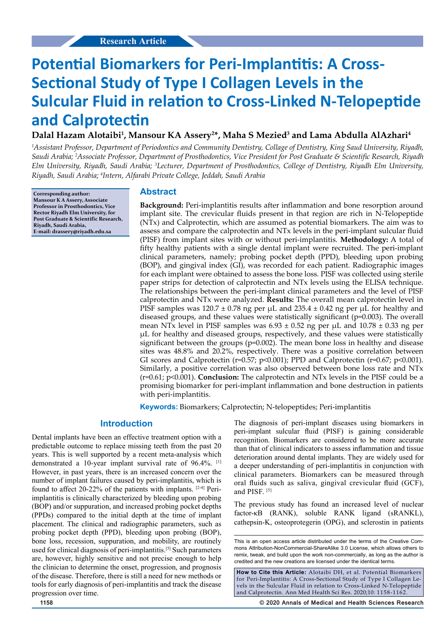# **Potential Biomarkers for Peri-Implantitis: A Cross-Sectional Study of Type I Collagen Levels in the Sulcular Fluid in relation to Cross-Linked N-Telopeptide and Calprotectin**

# **Dalal Hazam Alotaibi1 , Mansour KA Assery2 \*, Maha S Mezied3 and Lama Abdulla AlAzhari4**

*1 Assistant Professor, Department of Periodontics and Community Dentistry, Collage of Dentistry, King Saud University, Riyadh, Saudi Arabia; 2 Associate Professor, Department of Prosthodontics, Vice President for Post Graduate & Scientific Research, Riyadh Elm University, Riyadh, Saudi Arabia; 3 Lecturer, Department of Prosthodontics, College of Dentistry, Riyadh Elm University, Riyadh, Saudi Arabia; 4 Intern, Alfarabi Private College, Jeddah, Saudi Arabia*

**Corresponding author: Mansour K A Assery, Associate Professor in Prosthodontics, Vice Rector Riyadh Elm University, for Post Graduate & Scientific Research, Riyadh, Saudi Arabia, E-mail: drassery@riyadh.edu.sa**

## **Abstract**

**Background:** Peri-implantitis results after inflammation and bone resorption around implant site. The crevicular fluids present in that region are rich in N-Telopeptide (NTx) and Calprotectin, which are assumed as potential biomarkers. The aim was to assess and compare the calprotectin and NTx levels in the peri-implant sulcular fluid (PISF) from implant sites with or without peri-implantitis. **Methodology:** A total of fifty healthy patients with a single dental implant were recruited. The peri-implant clinical parameters, namely; probing pocket depth (PPD), bleeding upon probing (BOP), and gingival index (GI), was recorded for each patient. Radiographic images for each implant were obtained to assess the bone loss. PISF was collected using sterile paper strips for detection of calprotectin and NTx levels using the ELISA technique. The relationships between the peri-implant clinical parameters and the level of PISF calprotectin and NTx were analyzed. **Results:** The overall mean calprotectin level in PISF samples was  $120.7 \pm 0.78$  ng per  $\mu$ L and  $235.4 \pm 0.42$  ng per  $\mu$ L for healthy and diseased groups, and these values were statistically significant (p=0.003). The overall mean NTx level in PISF samples was  $6.93 \pm 0.52$  ng per  $\mu$ L and  $10.78 \pm 0.33$  ng per µL for healthy and diseased groups, respectively, and these values were statistically significant between the groups ( $p=0.002$ ). The mean bone loss in healthy and disease sites was 48.8% and 20.2%, respectively. There was a positive correlation between GI scores and Calprotectin (r=0.57; p<0.001); PPD and Calprotectin (r=0.67; p<0.001). Similarly, a positive correlation was also observed between bone loss rate and NTx (r=0.61; p<0.001). **Conclusion:** The calprotectin and NTx levels in the PISF could be a promising biomarker for peri-implant inflammation and bone destruction in patients with peri-implantitis.

**Keywords:** Biomarkers; Calprotectin; N-telopeptides; Peri-implantitis

## **Introduction**

Dental implants have been an effective treatment option with a predictable outcome to replace missing teeth from the past 20 years. This is well supported by a recent meta-analysis which demonstrated a 10-year implant survival rate of 96.4%. <sup>[1]</sup> However, in past years, there is an increased concern over the number of implant failures caused by peri-implantitis, which is found to affect 20-22% of the patients with implants. [2-4] Periimplantitis is clinically characterized by bleeding upon probing (BOP) and/or suppuration, and increased probing pocket depths (PPDs) compared to the initial depth at the time of implant placement. The clinical and radiographic parameters, such as probing pocket depth (PPD), bleeding upon probing (BOP), bone loss, recession, suppuration, and mobility, are routinely used for clinical diagnosis of peri-implantitis.<sup>[5]</sup> Such parameters are, however, highly sensitive and not precise enough to help the clinician to determine the onset, progression, and prognosis of the disease. Therefore, there is still a need for new methods or tools for early diagnosis of peri-implantitis and track the disease progression over time.

The diagnosis of peri-implant diseases using biomarkers in peri-implant sulcular fluid (PISF) is gaining considerable recognition. Biomarkers are considered to be more accurate than that of clinical indicators to assess inflammation and tissue deterioration around dental implants. They are widely used for a deeper understanding of peri-implantitis in conjunction with clinical parameters. Biomarkers can be measured through oral fluids such as saliva, gingival crevicular fluid (GCF), and PISF. [5]

The previous study has found an increased level of nuclear factor-κB (RANK), soluble RANK ligand (sRANKL), cathepsin-K, osteoprotegerin (OPG), and sclerostin in patients

**How to Cite this Article:** Alotaibi DH, et al. Potential Biomarkers for Peri-Implantitis: A Cross-Sectional Study of Type I Collagen Levels in the Sulcular Fluid in relation to Cross-Linked N-Telopeptide and Calprotectin. Ann Med Health Sci Res. 2020;10: 1158-1162.

**1158 © 2020 Annals of Medical and Health Sciences Research** 

This is an open access article distributed under the terms of the Creative Com‑ mons Attribution-NonCommercial-ShareAlike 3.0 License, which allows others to remix, tweak, and build upon the work non‑commercially, as long as the author is credited and the new creations are licensed under the identical terms.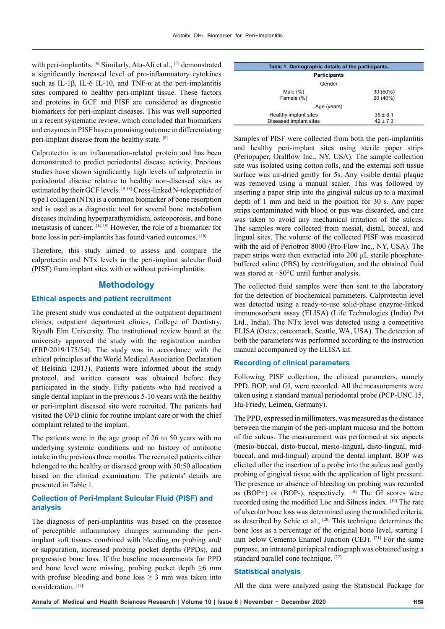with peri-implantits. <sup>[6]</sup> Similarly, Ata-Ali et al., <sup>[7]</sup> demonstrated a significantly increased level of pro-inflammatory cytokines such as IL-1β, IL-6 IL-10, and TNF- $\alpha$  at the peri-implantitis sites compared to healthy peri-implant tissue. These factors and proteins in GCF and PISF are considered as diagnostic biomarkers for peri-implant diseases. This was well supported in a recent systematic review, which concluded that biomarkers and enzymes in PISF have a promising outcome in differentiating peri-implant disease from the healthy state. [8]

Calprotectin is an inflammation-related protein and has been demonstrated to predict periodontal disease activity. Previous studies have shown significantly high levels of calprotectin in periodontal disease relative to healthy non-diseased sites as estimated by their GCF levels. [9-13] Cross-linked N-telopeptide of type I collagen (NTx) is a common biomarker of bone resorption and is used as a diagnostic tool for several bone metabolism diseases including hyperparathyroidism, osteoporosis, and bone metastasis of cancer. [14,15] However, the role of a biomarker for bone loss in peri-implantits has found varied outcomes. [16]

Therefore, this study aimed to assess and compare the calprotectin and NTx levels in the peri-implant sulcular fluid (PISF) from implant sites with or without peri-implantitis.

## **Methodology**

#### **Ethical aspects and patient recruitment**

The present study was conducted at the outpatient department clinics, outpatient department clinics, College of Dentistry, Riyadh Elm University. The institutional review board at the university approved the study with the registration number (FRP/2019/175/54). The study was in accordance with the ethical principles of the World Medical Association Declaration of Helsinki (2013). Patients were informed about the study protocol, and written consent was obtained before they participated in the study. Fifty patients who had received a single dental implant in the previous 5-10 years with the healthy or peri-implant diseased site were recruited. The patients had visited the OPD clinic for routine implant care or with the chief complaint related to the implant.

The patients were in the age group of 26 to 50 years with no underlying systemic conditions and no history of antibiotic intake in the previous three months. The recruited patients either belonged to the healthy or diseased group with 50:50 allocation based on the clinical examination. The patients' details are presented in Table 1.

## **Collection of Peri-Implant Sulcular Fluid (PISF) and analysis**

The diagnosis of peri-implantitis was based on the presence of perceptible inflammatory changes surrounding the periimplant soft tissues combined with bleeding on probing and/ or suppuration, increased probing pocket depths (PPDs), and progressive bone loss. If the baseline measurements for PPD and bone level were missing, probing pocket depth  $\geq 6$  mm with profuse bleeding and bone loss  $\geq$  3 mm was taken into consideration.<sup>[17]</sup>

| Table 1: Demographic details of the participants. |              |  |  |
|---------------------------------------------------|--------------|--|--|
| <b>Participants</b>                               |              |  |  |
| Gender                                            |              |  |  |
| Male $(\%)$                                       | 30 (60%)     |  |  |
| Female (%)                                        | 20 (40%)     |  |  |
| Age (years)                                       |              |  |  |
| Healthy implant sites                             | $36 \pm 8.1$ |  |  |
| Diseased implant sites                            | $42 \pm 7.3$ |  |  |

Samples of PISF were collected from both the peri-implantitis and healthy peri-implant sites using sterile paper strips (Periopaper, Oralflow Inc., NY, USA). The sample collection site was isolated using cotton rolls, and the external soft tissue surface was air-dried gently for 5s. Any visible dental plaque was removed using a manual scaler. This was followed by inserting a paper strip into the gingival sulcus up to a maximal depth of 1 mm and held in the position for 30 s. Any paper strips contaminated with blood or pus was discarded, and care was taken to avoid any mechanical irritation of the sulcus. The samples were collected from mesial, distal, buccal, and lingual sites. The volume of the collected PISF was measured with the aid of Periotron 8000 (Pro-Flow Inc., NY, USA). The paper strips were then extracted into 200 μL sterile phosphatebuffered saline (PBS) by centrifugation, and the obtained fluid was stored at −80°C until further analysis.

The collected fluid samples were then sent to the laboratory for the detection of biochemical parameters. Calprotectin level was detected using a ready-to-use solid-phase enzyme-linked immunosorbent assay (ELISA) (Life Technologies (India) Pvt Ltd., India). The NTx level was detected using a competitive ELISA (Ostex, osteomark, Seattle, WA, USA). The detection of both the parameters was performed according to the instruction manual accompanied by the ELISA kit.

#### **Recording of clinical parameters**

Following PISF collection, the clinical parameters, namely PPD, BOP, and GI, were recorded. All the measurements were taken using a standard manual periodontal probe (PCP-UNC 15, Hu-Friedy, Leimen, Germany).

The PPD, expressed in millimeters, was measured as the distance between the margin of the peri-implant mucosa and the bottom of the sulcus. The measurement was performed at six aspects (mesio-buccal, disto-buccal, mesio-lingual, disto-lingual, midbuccal, and mid-lingual) around the dental implant. BOP was elicited after the insertion of a probe into the sulcus and gently probing of gingival tissue with the application of light pressure. The presence or absence of bleeding on probing was recorded as (BOP+) or (BOP-), respectively.  $[18]$  The GI scores were recorded using the modified Löe and Silness index. [19] The rate of alveolar bone loss was determined using the modified criteria, as described by Schie et al., [20] This technique determines the bone loss as a percentage of the original bone level, starting 1 mm below Cemento Enamel Junction (CEJ). <sup>[21]</sup> For the same purpose, an intraoral periapical radiograph was obtained using a standard parallel cone technique. [22]

#### **Statistical analysis**

All the data were analyzed using the Statistical Package for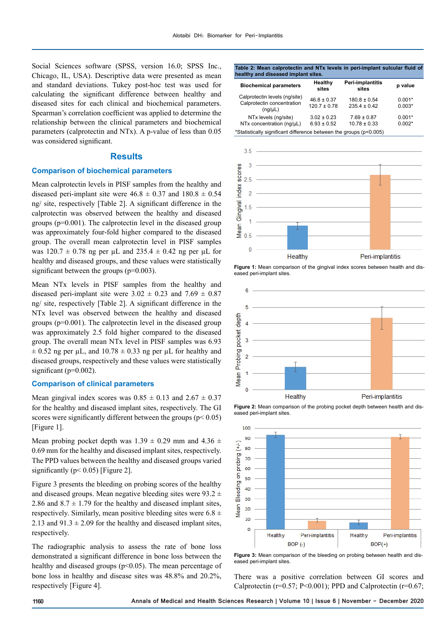Social Sciences software (SPSS, version 16.0; SPSS Inc., Chicago, IL, USA). Descriptive data were presented as mean and standard deviations. Tukey post-hoc test was used for calculating the significant difference between healthy and diseased sites for each clinical and biochemical parameters. Spearman's correlation coefficient was applied to determine the relationship between the clinical parameters and biochemical parameters (calprotectin and NTx). A p-value of less than 0.05 was considered significant.

## **Results**

#### **Comparison of biochemical parameters**

Mean calprotectin levels in PISF samples from the healthy and diseased peri-implant site were  $46.8 \pm 0.37$  and  $180.8 \pm 0.54$ ng/ site, respectively [Table 2]. A significant difference in the calprotectin was observed between the healthy and diseased groups (p=0.001). The calprotectin level in the diseased group was approximately four-fold higher compared to the diseased group. The overall mean calprotectin level in PISF samples was  $120.7 \pm 0.78$  ng per uL and  $235.4 \pm 0.42$  ng per uL for healthy and diseased groups, and these values were statistically significant between the groups (p=0.003).

Mean NTx levels in PISF samples from the healthy and diseased peri-implant site were  $3.02 \pm 0.23$  and  $7.69 \pm 0.87$ ng/ site, respectively [Table 2]. A significant difference in the NTx level was observed between the healthy and diseased groups (p=0.001). The calprotectin level in the diseased group was approximately 2.5 fold higher compared to the diseased group. The overall mean NTx level in PISF samples was 6.93  $\pm$  0.52 ng per µL, and 10.78  $\pm$  0.33 ng per µL for healthy and diseased groups, respectively and these values were statistically significant (p=0.002).

#### **Comparison of clinical parameters**

Mean gingival index scores was  $0.85 \pm 0.13$  and  $2.67 \pm 0.37$ for the healthy and diseased implant sites, respectively. The GI scores were significantly different between the groups ( $p$  < 0.05) [Figure 1].

Mean probing pocket depth was  $1.39 \pm 0.29$  mm and  $4.36 \pm 0.29$ 0.69 mm for the healthy and diseased implant sites, respectively. The PPD values between the healthy and diseased groups varied significantly ( $p < 0.05$ ) [Figure 2].

Figure 3 presents the bleeding on probing scores of the healthy and diseased groups. Mean negative bleeding sites were  $93.2 \pm$ 2.86 and  $8.7 \pm 1.79$  for the healthy and diseased implant sites, respectively. Similarly, mean positive bleeding sites were  $6.8 \pm$ 2.13 and  $91.3 \pm 2.09$  for the healthy and diseased implant sites, respectively.

The radiographic analysis to assess the rate of bone loss demonstrated a significant difference in bone loss between the healthy and diseased groups ( $p<0.05$ ). The mean percentage of bone loss in healthy and disease sites was 48.8% and 20.2%, respectively [Figure 4].

#### **Table 2: Mean calprotectin and NTx levels in peri-implant sulcular fluid of healthy and diseased implant sites.**

| <b>Biochemical parameters</b>                                               | <b>Healthy</b><br>sites             | Peri-implantitis<br>sites            | p value              |  |
|-----------------------------------------------------------------------------|-------------------------------------|--------------------------------------|----------------------|--|
| Calprotectin levels (ng/site)<br>Calprotectin concentration<br>$(nq/\mu L)$ | $46.8 \pm 0.37$<br>$120.7 \pm 0.78$ | $180.8 \pm 0.54$<br>$235.4 \pm 0.42$ | $0.001*$<br>$0.003*$ |  |
| NTx levels (ng/site)<br>NTx concentration (ng/µL)                           | $3.02 \pm 0.23$<br>$6.93 \pm 0.52$  | $7.69 \pm 0.87$<br>$10.78 \pm 0.33$  | $0.001*$<br>$0.002*$ |  |
| *Statistically significant difference between the groups (p<0.005)          |                                     |                                      |                      |  |



Figure 1: Mean comparison of the gingival index scores between health and diseased peri-implant sites.







Figure 3: Mean comparison of the bleeding on probing between health and dissed peri-implant sites.

There was a positive correlation between GI scores and Calprotectin ( $r=0.57$ ; P<0.001); PPD and Calprotectin ( $r=0.67$ ;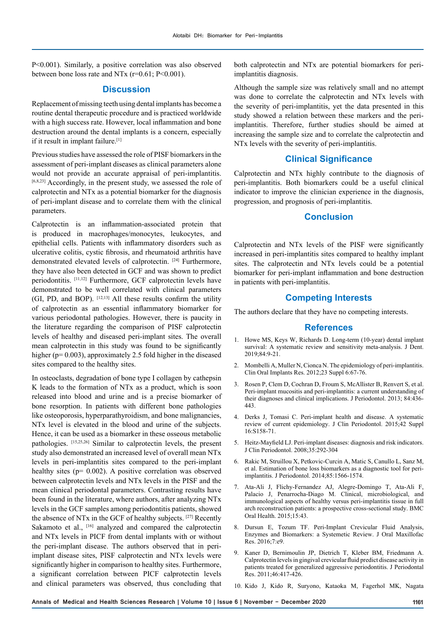P<0.001). Similarly, a positive correlation was also observed between bone loss rate and NTx  $(r=0.61; P<0.001)$ .

### **Discussion**

Replacement of missing teeth using dental implants has become a routine dental therapeutic procedure and is practiced worldwide with a high success rate. However, local inflammation and bone destruction around the dental implants is a concern, especially if it result in implant failure.[1]

Previous studies have assessed the role of PISF biomarkers in the assessment of peri-implant diseases as clinical parameters alone would not provide an accurate appraisal of peri-implantitis. [6,8,23] Accordingly, in the present study, we assessed the role of calprotectin and NTx as a potential biomarker for the diagnosis of peri-implant disease and to correlate them with the clinical parameters.

Calprotectin is an inflammation-associated protein that is produced in macrophages/monocytes, leukocytes, and epithelial cells. Patients with inflammatory disorders such as ulcerative colitis, cystic fibrosis, and rheumatoid arthritis have demonstrated elevated levels of calprotectin. [24] Furthermore, they have also been detected in GCF and was shown to predict periodontitis. [11,12] Furthermore, GCF calprotectin levels have demonstrated to be well correlated with clinical parameters (GI, PD, and BOP).  $[12,13]$  All these results confirm the utility of calprotectin as an essential inflammatory biomarker for various periodontal pathologies. However, there is paucity in the literature regarding the comparison of PISF calprotectin levels of healthy and diseased peri-implant sites. The overall mean calprotectin in this study was found to be significantly higher (p= 0.003), approximately 2.5 fold higher in the diseased sites compared to the healthy sites.

In osteoclasts, degradation of bone type I collagen by cathepsin K leads to the formation of NTx as a product, which is soon released into blood and urine and is a precise biomarker of bone resorption. In patients with different bone pathologies like osteoporosis, hyperparathyroidism, and bone malignancies, NTx level is elevated in the blood and urine of the subjects. Hence, it can be used as a biomarker in these osseous metabolic pathologies. [15,25,26] Similar to calprotectin levels, the present study also demonstrated an increased level of overall mean NTx levels in peri-implantitis sites compared to the peri-implant healthy sites (p= 0.002). A positive correlation was observed between calprotectin levels and NTx levels in the PISF and the mean clinical periodontal parameters. Contrasting results have been found in the literature, where authors, after analyzing NTx levels in the GCF samples among periodontitis patients, showed the absence of NTx in the GCF of healthy subjects. [27] Recently Sakamoto et al., [16] analyzed and compared the calprotectin and NTx levels in PICF from dental implants with or without the peri-implant disease. The authors observed that in periimplant disease sites, PISF calprotectin and NTx levels were significantly higher in comparison to healthy sites. Furthermore, a significant correlation between PICF calprotectin levels and clinical parameters was observed, thus concluding that both calprotectin and NTx are potential biomarkers for periimplantitis diagnosis.

Although the sample size was relatively small and no attempt was done to correlate the calprotectin and NTx levels with the severity of peri-implantitis, yet the data presented in this study showed a relation between these markers and the periimplantitis. Therefore, further studies should be aimed at increasing the sample size and to correlate the calprotectin and NTx levels with the severity of peri-implantitis.

### **Clinical Significance**

Calprotectin and NTx highly contribute to the diagnosis of peri-implantitis. Both biomarkers could be a useful clinical indicator to improve the clinician experience in the diagnosis, progression, and prognosis of peri-implantitis.

## **Conclusion**

Calprotectin and NTx levels of the PISF were significantly increased in peri-implantitis sites compared to healthy implant sites. The calprotectin and NTx levels could be a potential biomarker for peri-implant inflammation and bone destruction in patients with peri-implantitis.

## **Competing Interests**

The authors declare that they have no competing interests.

#### **References**

- 1. Howe MS, Keys W, Richards D. Long-term (10-year) dental implant survival: A systematic review and sensitivity meta-analysis. J Dent. 2019;84:9-21.
- 2. Mombelli A, Muller N, Cionca N. The epidemiology of peri-implantitis. Clin Oral Implants Res. 2012;23 Suppl 6:67-76.
- 3. Rosen P, Clem D, Cochran D, Froum S, McAllister B, Renvert S, et al. Peri-implant mucositis and peri-implantitis: a current understanding of their diagnoses and clinical implications. J Periodontol. 2013; 84:436- 443.
- 4. Derks J, Tomasi C. Peri-implant health and disease. A systematic review of current epidemiology. J Clin Periodontol. 2015;42 Suppl 16:S158-71.
- 5. Heitz-Mayfield LJ. Peri-implant diseases: diagnosis and risk indicators. J Clin Periodontol. 2008;35:292-304
- 6. Rakic M, Struillou X, Petkovic-Curcin A, Matic S, Canullo L, Sanz M, et al. Estimation of bone loss biomarkers as a diagnostic tool for periimplantitis. J Periodontol. 2014;85:1566-1574.
- 7. Ata-Ali J, Flichy-Fernandez AJ, Alegre-Domingo T, Ata-Ali F, Palacio J, Penarrocha-Diago M. Clinical, microbiological, and immunological aspects of healthy versus peri-implantitis tissue in full arch reconstruction patients: a prospective cross-sectional study. BMC Oral Health. 2015;15:43.
- 8. Dursun E, Tozum TF. Peri-Implant Crevicular Fluid Analysis, Enzymes and Biomarkers: a Systemetic Review. J Oral Maxillofac Res. 2016;7:e9.
- 9. Kaner D, Bernimoulin JP, Dietrich T, Kleber BM, Friedmann A. Calprotectin levels in gingival crevicular fluid predict disease activity in patients treated for generalized aggressive periodontitis. J Periodontal Res. 2011;46:417-426.
- 10. Kido J, Kido R, Suryono, Kataoka M, Fagerhol MK, Nagata